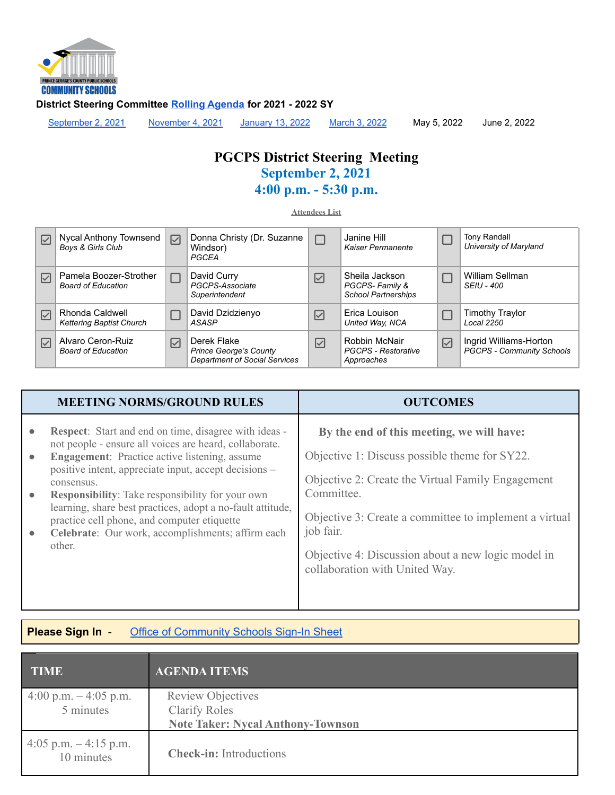

<span id="page-0-0"></span>[September 2, 2021](#page-0-0) **[November 4, 2021](#page-4-0) [January 13, 2022](#page-8-0) [March 3, 2022](#page-13-0) May 5, 2022 June 2, 2022** 

# **PGCPS District Steering Meeting September 2, 2021 4:00 p.m. - 5:30 p.m.**

**Attendees List**

| $\vee$               | Nycal Anthony Townsend<br>Boys & Girls Club         | $\triangledown$        | Donna Christy (Dr. Suzanne<br>Windsor)<br>PGCEA                                      |   | Janine Hill<br><b>Kaiser Permanente</b>                        |          | Tony Randall<br>University of Maryland                     |
|----------------------|-----------------------------------------------------|------------------------|--------------------------------------------------------------------------------------|---|----------------------------------------------------------------|----------|------------------------------------------------------------|
| $\boxed{\checkmark}$ | Pamela Boozer-Strother<br><b>Board of Education</b> |                        | David Curry<br>PGCPS-Associate<br>Superintendent                                     | ☑ | Sheila Jackson<br>PGCPS-Family &<br><b>School Partnerships</b> |          | William Sellman<br><i>SEIU - 400</i>                       |
| ☑                    | Rhonda Caldwell<br><b>Kettering Baptist Church</b>  |                        | David Dzidzienyo<br>ASASP                                                            | ☑ | Erica Louison<br>United Way, NCA                               |          | Timothy Traylor<br><b>Local 2250</b>                       |
| ☑                    | Alvaro Ceron-Ruiz<br><b>Board of Education</b>      | $\vert\mathcal{}\vert$ | Derek Flake<br><b>Prince George's County</b><br><b>Department of Social Services</b> | ☑ | Robbin McNair<br><b>PGCPS - Restorative</b><br>Approaches      | $\nabla$ | Ingrid Williams-Horton<br><b>PGCPS - Community Schools</b> |

| <b>MEETING NORMS/GROUND RULES</b>                                                                                                                                                                                                                                                                                                                                                                                                                                                                                                                | <b>OUTCOMES</b>                                                                                                                                                                                                                                                                                                              |
|--------------------------------------------------------------------------------------------------------------------------------------------------------------------------------------------------------------------------------------------------------------------------------------------------------------------------------------------------------------------------------------------------------------------------------------------------------------------------------------------------------------------------------------------------|------------------------------------------------------------------------------------------------------------------------------------------------------------------------------------------------------------------------------------------------------------------------------------------------------------------------------|
| <b>Respect:</b> Start and end on time, disagree with ideas -<br>$\bullet$<br>not people - ensure all voices are heard, collaborate.<br><b>Engagement:</b> Practice active listening, assume<br>$\bullet$<br>positive intent, appreciate input, accept decisions -<br>consensus.<br><b>Responsibility:</b> Take responsibility for your own<br>$\bullet$<br>learning, share best practices, adopt a no-fault attitude,<br>practice cell phone, and computer etiquette<br>Celebrate: Our work, accomplishments; affirm each<br>$\bullet$<br>other. | By the end of this meeting, we will have:<br>Objective 1: Discuss possible theme for SY22.<br>Objective 2: Create the Virtual Family Engagement<br>Committee.<br>Objective 3: Create a committee to implement a virtual<br>job fair.<br>Objective 4: Discussion about a new logic model in<br>collaboration with United Way. |

### **Please Sign In** - **Office of [Community](https://docs.google.com/forms/d/e/1FAIpQLScfPPUBRBXrORnmH5My2E5bwD0fBwqlY088V_rPVzSaydRNZA/viewform) Schools Sign-In Sheet**

| <b>TIME</b>                          | <b>AGENDA ITEMS</b>                                                                          |
|--------------------------------------|----------------------------------------------------------------------------------------------|
| 4:00 p.m. $-4:05$ p.m.<br>5 minutes  | <b>Review Objectives</b><br><b>Clarify Roles</b><br><b>Note Taker: Nycal Anthony-Townson</b> |
| 4:05 p.m. $-4:15$ p.m.<br>10 minutes | <b>Check-in:</b> Introductions                                                               |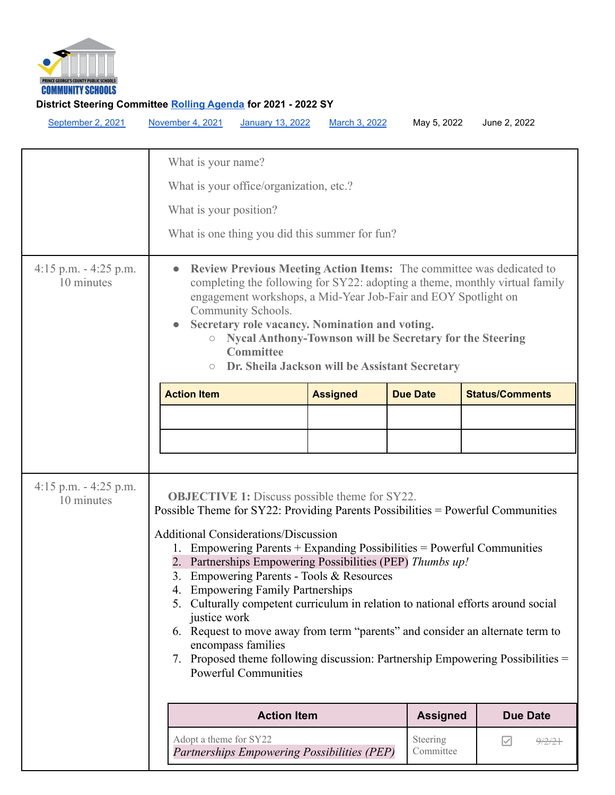

| September 2, 2021                     | November 4, 2021                                         | January 13, 2022                                                                                                                                                                                                                                                                                                                                                                                                                       | March 3, 2022 | May 5, 2022           | June 2, 2022                                                                                                                                                                                                                                                                                                                           |  |  |
|---------------------------------------|----------------------------------------------------------|----------------------------------------------------------------------------------------------------------------------------------------------------------------------------------------------------------------------------------------------------------------------------------------------------------------------------------------------------------------------------------------------------------------------------------------|---------------|-----------------------|----------------------------------------------------------------------------------------------------------------------------------------------------------------------------------------------------------------------------------------------------------------------------------------------------------------------------------------|--|--|
|                                       | What is your name?<br>What is your position?             | What is your office/organization, etc.?<br>What is one thing you did this summer for fun?                                                                                                                                                                                                                                                                                                                                              |               |                       |                                                                                                                                                                                                                                                                                                                                        |  |  |
| 4:15 p.m. $-$ 4:25 p.m.<br>10 minutes | $\bullet$<br>$\bullet$<br>$\bigcirc$<br>$\bigcirc$       | Review Previous Meeting Action Items: The committee was dedicated to<br>completing the following for SY22: adopting a theme, monthly virtual family<br>engagement workshops, a Mid-Year Job-Fair and EOY Spotlight on<br>Community Schools.<br>Secretary role vacancy. Nomination and voting.<br><b>Nycal Anthony-Townson will be Secretary for the Steering</b><br><b>Committee</b><br>Dr. Sheila Jackson will be Assistant Secretary |               |                       |                                                                                                                                                                                                                                                                                                                                        |  |  |
|                                       | <b>Action Item</b>                                       | <b>Assigned</b><br><b>Due Date</b><br><b>Status/Comments</b>                                                                                                                                                                                                                                                                                                                                                                           |               |                       |                                                                                                                                                                                                                                                                                                                                        |  |  |
|                                       |                                                          |                                                                                                                                                                                                                                                                                                                                                                                                                                        |               |                       |                                                                                                                                                                                                                                                                                                                                        |  |  |
|                                       |                                                          |                                                                                                                                                                                                                                                                                                                                                                                                                                        |               |                       |                                                                                                                                                                                                                                                                                                                                        |  |  |
| 4:15 p.m. $-$ 4:25 p.m.<br>10 minutes | 2.<br>3.<br>4.<br>justice work                           | <b>OBJECTIVE 1:</b> Discuss possible theme for SY22.<br><b>Additional Considerations/Discussion</b><br>$Empowering$ Parents + Expanding Possibilities = Powerful Communities<br>Partnerships Empowering Possibilities (PEP) Thumbs up!<br>Empowering Parents - Tools & Resources<br><b>Empowering Family Partnerships</b><br>encompass families<br><b>Powerful Communities</b>                                                         |               |                       | Possible Theme for SY22: Providing Parents Possibilities = Powerful Communities<br>5. Culturally competent curriculum in relation to national efforts around social<br>6. Request to move away from term "parents" and consider an alternate term to<br>7. Proposed theme following discussion: Partnership Empowering Possibilities = |  |  |
|                                       | <b>Action Item</b><br><b>Assigned</b><br><b>Due Date</b> |                                                                                                                                                                                                                                                                                                                                                                                                                                        |               |                       |                                                                                                                                                                                                                                                                                                                                        |  |  |
|                                       | Adopt a theme for SY22                                   | Partnerships Empowering Possibilities (PEP)                                                                                                                                                                                                                                                                                                                                                                                            |               | Steering<br>Committee | $\left \mathcal{S}\right $                                                                                                                                                                                                                                                                                                             |  |  |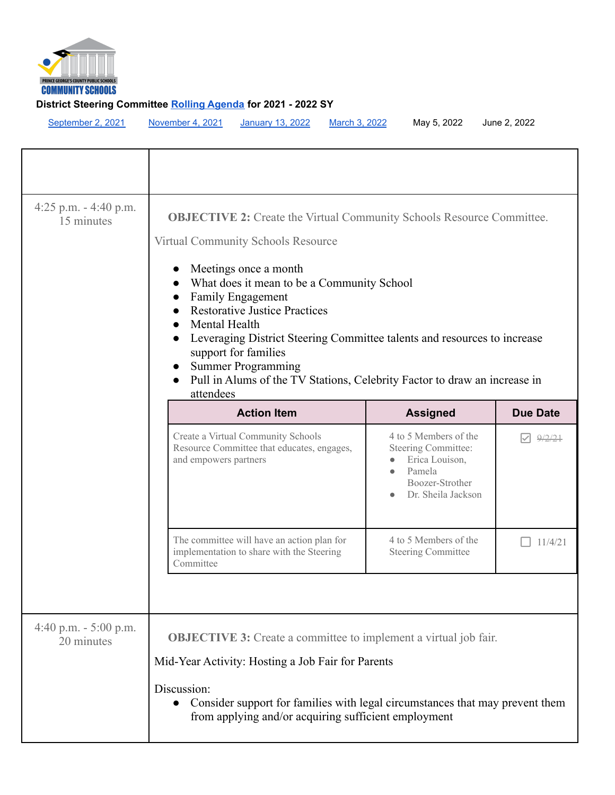

[September 2, 2021](#page-0-0) [November 4, 2021](#page-4-0) [January 13, 2022](#page-8-0) [March 3, 2022](#page-13-0) May 5, 2022 June 2, 2022

| 4:25 p.m. $-$ 4:40 p.m.<br>15 minutes | <b>OBJECTIVE 2:</b> Create the Virtual Community Schools Resource Committee.<br><b>Virtual Community Schools Resource</b><br>Meetings once a month<br>What does it mean to be a Community School<br><b>Family Engagement</b><br><b>Restorative Justice Practices</b><br>Mental Health<br>Leveraging District Steering Committee talents and resources to increase<br>support for families<br><b>Summer Programming</b><br>Pull in Alums of the TV Stations, Celebrity Factor to draw an increase in<br>attendees |                                                                                                                   |         |  |  |  |  |
|---------------------------------------|------------------------------------------------------------------------------------------------------------------------------------------------------------------------------------------------------------------------------------------------------------------------------------------------------------------------------------------------------------------------------------------------------------------------------------------------------------------------------------------------------------------|-------------------------------------------------------------------------------------------------------------------|---------|--|--|--|--|
|                                       | <b>Action Item</b><br><b>Assigned</b><br><b>Due Date</b>                                                                                                                                                                                                                                                                                                                                                                                                                                                         |                                                                                                                   |         |  |  |  |  |
|                                       | Create a Virtual Community Schools<br>Resource Committee that educates, engages,<br>and empowers partners                                                                                                                                                                                                                                                                                                                                                                                                        | 4 to 5 Members of the<br>Steering Committee:<br>Erica Louison,<br>Pamela<br>Boozer-Strother<br>Dr. Sheila Jackson | 0/2/21  |  |  |  |  |
|                                       | The committee will have an action plan for<br>implementation to share with the Steering<br>Committee                                                                                                                                                                                                                                                                                                                                                                                                             | 4 to 5 Members of the<br><b>Steering Committee</b>                                                                | 11/4/21 |  |  |  |  |
|                                       |                                                                                                                                                                                                                                                                                                                                                                                                                                                                                                                  |                                                                                                                   |         |  |  |  |  |
| 4:40 p.m. $-$ 5:00 p.m.<br>20 minutes | <b>OBJECTIVE 3:</b> Create a committee to implement a virtual job fair.<br>Mid-Year Activity: Hosting a Job Fair for Parents<br>Discussion:<br>Consider support for families with legal circumstances that may prevent them<br>from applying and/or acquiring sufficient employment                                                                                                                                                                                                                              |                                                                                                                   |         |  |  |  |  |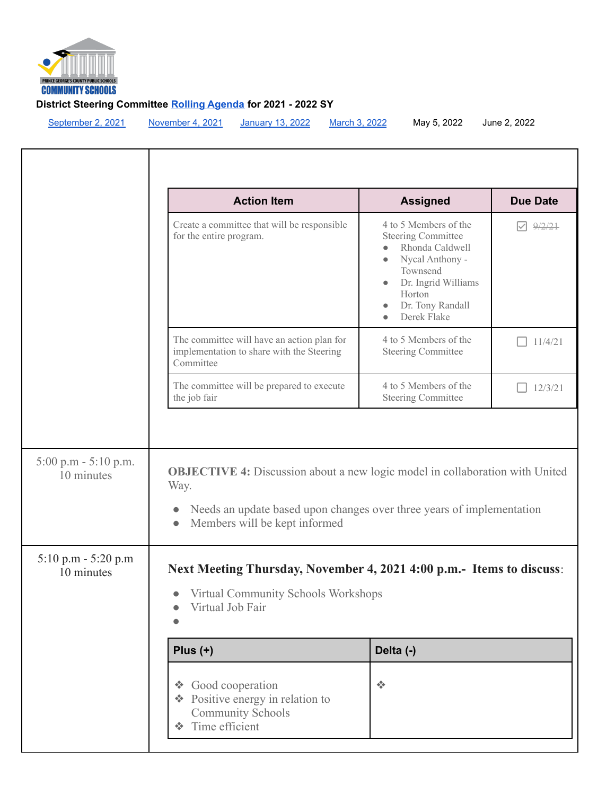

[September 2, 2021](#page-0-0) [November 4, 2021](#page-4-0) [January 13, 2022](#page-8-0) [March 3, 2022](#page-13-0) May 5, 2022 June 2, 2022

|                                       | <b>Action Item</b>                                                                                                          |                                                                                                                                                                                                                       | <b>Due Date</b> |
|---------------------------------------|-----------------------------------------------------------------------------------------------------------------------------|-----------------------------------------------------------------------------------------------------------------------------------------------------------------------------------------------------------------------|-----------------|
|                                       | Create a committee that will be responsible<br>for the entire program.                                                      | <b>Assigned</b><br>4 to 5 Members of the<br><b>Steering Committee</b><br>Rhonda Caldwell<br>$\bullet$<br>Nycal Anthony -<br>$\bullet$<br>Townsend<br>Dr. Ingrid Williams<br>Horton<br>Dr. Tony Randall<br>Derek Flake | 9/2/21          |
|                                       | The committee will have an action plan for<br>implementation to share with the Steering<br>Committee                        | 4 to 5 Members of the<br><b>Steering Committee</b>                                                                                                                                                                    | 11/4/21         |
|                                       | The committee will be prepared to execute<br>the job fair                                                                   | 4 to 5 Members of the<br><b>Steering Committee</b>                                                                                                                                                                    | 12/3/21         |
|                                       | Way.<br>Needs an update based upon changes over three years of implementation<br>$\bullet$<br>Members will be kept informed |                                                                                                                                                                                                                       |                 |
| $5:10$ p.m - $5:20$ p.m<br>10 minutes | Next Meeting Thursday, November 4, 2021 4:00 p.m.- Items to discuss:                                                        |                                                                                                                                                                                                                       |                 |
|                                       | <b>Virtual Community Schools Workshops</b><br>Virtual Job Fair                                                              |                                                                                                                                                                                                                       |                 |
|                                       | Plus $(+)$                                                                                                                  | Delta (-)                                                                                                                                                                                                             |                 |
|                                       | Good cooperation<br>參<br>❖ Positive energy in relation to<br><b>Community Schools</b><br><b>❖</b> Time efficient            | $\frac{1}{2}$                                                                                                                                                                                                         |                 |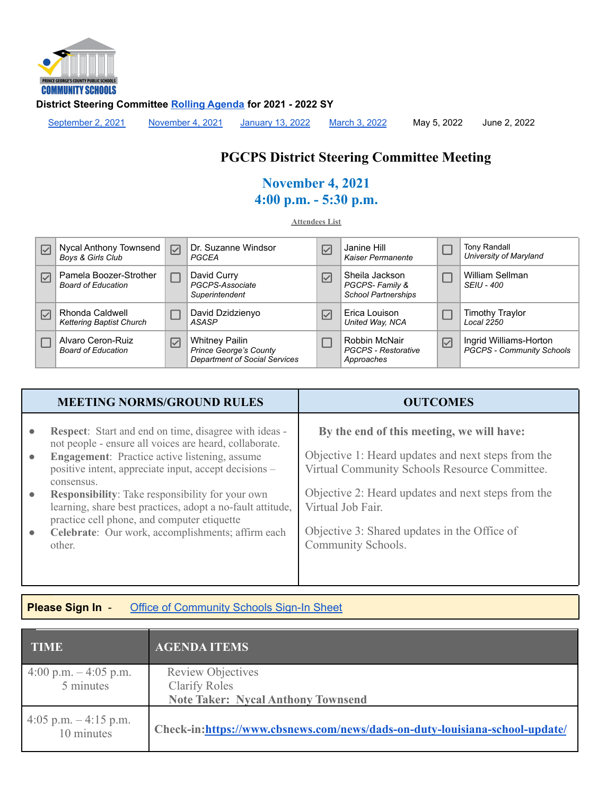

<span id="page-4-0"></span>

[September 2, 2021](#page-0-0) **[November 4, 2021](#page-4-0) [January 13, 2022](#page-8-0) [March 3, 2022](#page-13-0) May 5, 2022 June 2, 2022** 

# **PGCPS District Steering Committee Meeting**

### **November 4, 2021 4:00 p.m. - 5:30 p.m.**

**Attendees List**

| $\overline{\vee}$    | Nycal Anthony Townsend<br><b>Boys &amp; Girls Club</b> | $\triangledown$ | Dr. Suzanne Windsor<br>PGCFA                                                                   | $\boxed{\smile}$     | Janine Hill<br>Kaiser Permanente                               |   | <b>Tony Randall</b><br>University of Maryland              |
|----------------------|--------------------------------------------------------|-----------------|------------------------------------------------------------------------------------------------|----------------------|----------------------------------------------------------------|---|------------------------------------------------------------|
| $\boxed{\checkmark}$ | Pamela Boozer-Strother<br><b>Board of Education</b>    |                 | David Curry<br>PGCPS-Associate<br>Superintendent                                               | $\boxed{\checkmark}$ | Sheila Jackson<br>PGCPS-Family &<br><b>School Partnerships</b> |   | William Sellman<br><b>SEIU - 400</b>                       |
| $\overline{\vee}$    | Rhonda Caldwell<br><b>Kettering Baptist Church</b>     |                 | David Dzidzienyo<br>ASASP                                                                      | $\boxed{\checkmark}$ | Erica Louison<br>United Way, NCA                               |   | Timothy Traylor<br>Local 2250                              |
|                      | Alvaro Ceron-Ruiz<br><b>Board of Education</b>         | ∣✓∣             | <b>Whitney Pailin</b><br><b>Prince George's County</b><br><b>Department of Social Services</b> |                      | Robbin McNair<br><b>PGCPS - Restorative</b><br>Approaches      | ☑ | Ingrid Williams-Horton<br><b>PGCPS - Community Schools</b> |

|                        | <b>MEETING NORMS/GROUND RULES</b>                                                                                                                                                                                                       | <b>OUTCOMES</b>                                                                                                                                  |
|------------------------|-----------------------------------------------------------------------------------------------------------------------------------------------------------------------------------------------------------------------------------------|--------------------------------------------------------------------------------------------------------------------------------------------------|
| $\bullet$<br>$\bullet$ | <b>Respect:</b> Start and end on time, disagree with ideas -<br>not people - ensure all voices are heard, collaborate.<br><b>Engagement:</b> Practice active listening, assume<br>positive intent, appreciate input, accept decisions – | By the end of this meeting, we will have:<br>Objective 1: Heard updates and next steps from the<br>Virtual Community Schools Resource Committee. |
| $\bullet$              | consensus.<br><b>Responsibility:</b> Take responsibility for your own<br>learning, share best practices, adopt a no-fault attitude,<br>practice cell phone, and computer etiquette                                                      | Objective 2: Heard updates and next steps from the<br>Virtual Job Fair.                                                                          |
| $\bullet$              | Celebrate: Our work, accomplishments; affirm each<br>other.                                                                                                                                                                             | Objective 3: Shared updates in the Office of<br>Community Schools.                                                                               |

**Please Sign In** - Office of [Community](https://docs.google.com/forms/d/e/1FAIpQLScfPPUBRBXrORnmH5My2E5bwD0fBwqlY088V_rPVzSaydRNZA/viewform) Schools Sign-In Sheet

| <b>TIME</b>                          | <b>AGENDA ITEMS</b>                                                                           |
|--------------------------------------|-----------------------------------------------------------------------------------------------|
| 4:00 p.m. $-4:05$ p.m.<br>5 minutes  | <b>Review Objectives</b><br><b>Clarify Roles</b><br><b>Note Taker: Nycal Anthony Townsend</b> |
| 4:05 p.m. $-4:15$ p.m.<br>10 minutes | Check-in:https://www.cbsnews.com/news/dads-on-duty-louisiana-school-update/                   |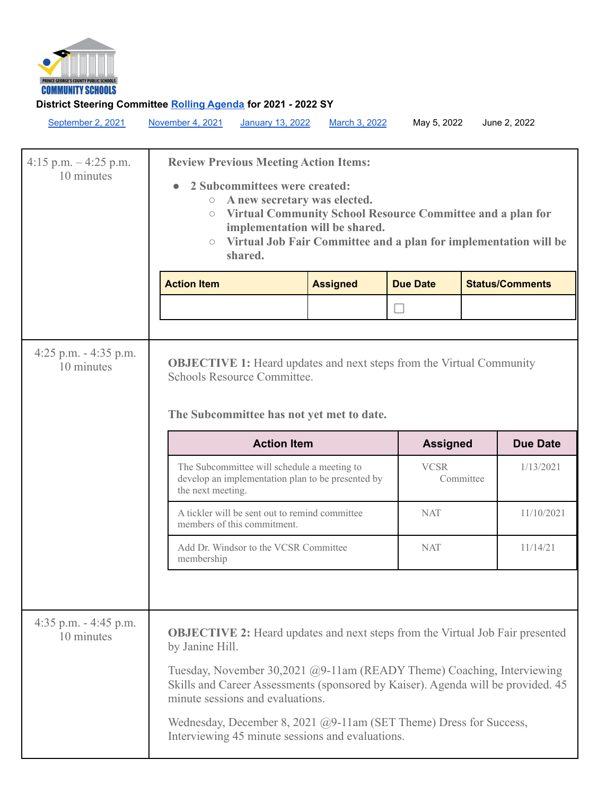

| September 2, 2021                     | <b>November 4, 2021</b><br>January 13, 2022                                                                                                                                                                                                                                                                                                                                                                                              | March 3, 2022                                                  | May 5, 2022     | June 2, 2022                                                                                                                   |
|---------------------------------------|------------------------------------------------------------------------------------------------------------------------------------------------------------------------------------------------------------------------------------------------------------------------------------------------------------------------------------------------------------------------------------------------------------------------------------------|----------------------------------------------------------------|-----------------|--------------------------------------------------------------------------------------------------------------------------------|
| 4:15 p.m. $-4:25$ p.m.<br>10 minutes  | <b>Review Previous Meeting Action Items:</b><br>2 Subcommittees were created:<br>$\circ$<br>$\bigcirc$<br>$\circ$<br>shared.                                                                                                                                                                                                                                                                                                             | A new secretary was elected.<br>implementation will be shared. |                 | Virtual Community School Resource Committee and a plan for<br>Virtual Job Fair Committee and a plan for implementation will be |
|                                       | <b>Action Item</b>                                                                                                                                                                                                                                                                                                                                                                                                                       | <b>Assigned</b>                                                | <b>Due Date</b> | <b>Status/Comments</b>                                                                                                         |
|                                       |                                                                                                                                                                                                                                                                                                                                                                                                                                          |                                                                |                 |                                                                                                                                |
| 4:25 p.m. $-$ 4:35 p.m.<br>10 minutes | <b>OBJECTIVE 1:</b> Heard updates and next steps from the Virtual Community<br>Schools Resource Committee.<br>The Subcommittee has not yet met to date.<br><b>Action Item</b>                                                                                                                                                                                                                                                            |                                                                | <b>Assigned</b> | <b>Due Date</b>                                                                                                                |
|                                       | The Subcommittee will schedule a meeting to                                                                                                                                                                                                                                                                                                                                                                                              | <b>VCSR</b>                                                    | 1/13/2021       |                                                                                                                                |
|                                       | develop an implementation plan to be presented by<br>the next meeting.                                                                                                                                                                                                                                                                                                                                                                   |                                                                |                 | Committee                                                                                                                      |
|                                       | A tickler will be sent out to remind committee<br>members of this commitment.                                                                                                                                                                                                                                                                                                                                                            |                                                                | <b>NAT</b>      | 11/10/2021                                                                                                                     |
|                                       | Add Dr. Windsor to the VCSR Committee<br>membership                                                                                                                                                                                                                                                                                                                                                                                      |                                                                | <b>NAT</b>      | 11/14/21                                                                                                                       |
|                                       |                                                                                                                                                                                                                                                                                                                                                                                                                                          |                                                                |                 |                                                                                                                                |
| 4:35 p.m. $-4:45$ p.m.<br>10 minutes  | <b>OBJECTIVE 2:</b> Heard updates and next steps from the Virtual Job Fair presented<br>by Janine Hill.<br>Tuesday, November 30,2021 @9-11am (READY Theme) Coaching, Interviewing<br>Skills and Career Assessments (sponsored by Kaiser). Agenda will be provided. 45<br>minute sessions and evaluations.<br>Wednesday, December 8, 2021 $(a)9-11$ am (SET Theme) Dress for Success,<br>Interviewing 45 minute sessions and evaluations. |                                                                |                 |                                                                                                                                |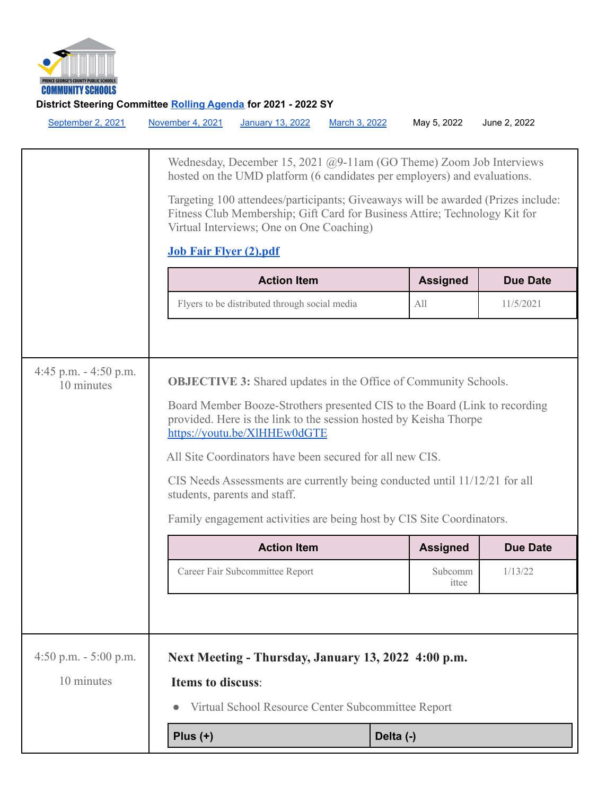

| September 2, 2021                     | November 4, 2021                                                                                           | <b>January 13, 2022</b>                                                                                                                                                                                                             | March 3, 2022 | May 5, 2022      | June 2, 2022    |  |
|---------------------------------------|------------------------------------------------------------------------------------------------------------|-------------------------------------------------------------------------------------------------------------------------------------------------------------------------------------------------------------------------------------|---------------|------------------|-----------------|--|
|                                       |                                                                                                            | Wednesday, December 15, 2021 @9-11am (GO Theme) Zoom Job Interviews<br>hosted on the UMD platform (6 candidates per employers) and evaluations.<br>Targeting 100 attendees/participants; Giveaways will be awarded (Prizes include: |               |                  |                 |  |
|                                       |                                                                                                            | Fitness Club Membership; Gift Card for Business Attire; Technology Kit for<br>Virtual Interviews; One on One Coaching)                                                                                                              |               |                  |                 |  |
|                                       | <b>Job Fair Flyer (2).pdf</b>                                                                              |                                                                                                                                                                                                                                     |               |                  |                 |  |
|                                       |                                                                                                            | <b>Action Item</b>                                                                                                                                                                                                                  |               | <b>Assigned</b>  | <b>Due Date</b> |  |
|                                       |                                                                                                            | Flyers to be distributed through social media                                                                                                                                                                                       |               | All              | 11/5/2021       |  |
| 4:45 p.m. $-$ 4:50 p.m.<br>10 minutes |                                                                                                            | <b>OBJECTIVE 3:</b> Shared updates in the Office of Community Schools.<br>Board Member Booze-Strothers presented CIS to the Board (Link to recording                                                                                |               |                  |                 |  |
|                                       |                                                                                                            | provided. Here is the link to the session hosted by Keisha Thorpe<br>https://youtu.be/XlHHEw0dGTE                                                                                                                                   |               |                  |                 |  |
|                                       |                                                                                                            | All Site Coordinators have been secured for all new CIS.                                                                                                                                                                            |               |                  |                 |  |
|                                       | CIS Needs Assessments are currently being conducted until 11/12/21 for all<br>students, parents and staff. |                                                                                                                                                                                                                                     |               |                  |                 |  |
|                                       |                                                                                                            | Family engagement activities are being host by CIS Site Coordinators.                                                                                                                                                               |               |                  |                 |  |
|                                       |                                                                                                            | <b>Action Item</b>                                                                                                                                                                                                                  |               | <b>Assigned</b>  | <b>Due Date</b> |  |
|                                       |                                                                                                            | Career Fair Subcommittee Report                                                                                                                                                                                                     |               | Subcomm<br>ittee | 1/13/22         |  |
|                                       |                                                                                                            |                                                                                                                                                                                                                                     |               |                  |                 |  |
| 4:50 p.m. $-$ 5:00 p.m.               |                                                                                                            | Next Meeting - Thursday, January 13, 2022 4:00 p.m.                                                                                                                                                                                 |               |                  |                 |  |
| 10 minutes                            | Items to discuss:                                                                                          |                                                                                                                                                                                                                                     |               |                  |                 |  |
|                                       |                                                                                                            | Virtual School Resource Center Subcommittee Report                                                                                                                                                                                  |               |                  |                 |  |
|                                       | Plus $(+)$                                                                                                 |                                                                                                                                                                                                                                     | Delta (-)     |                  |                 |  |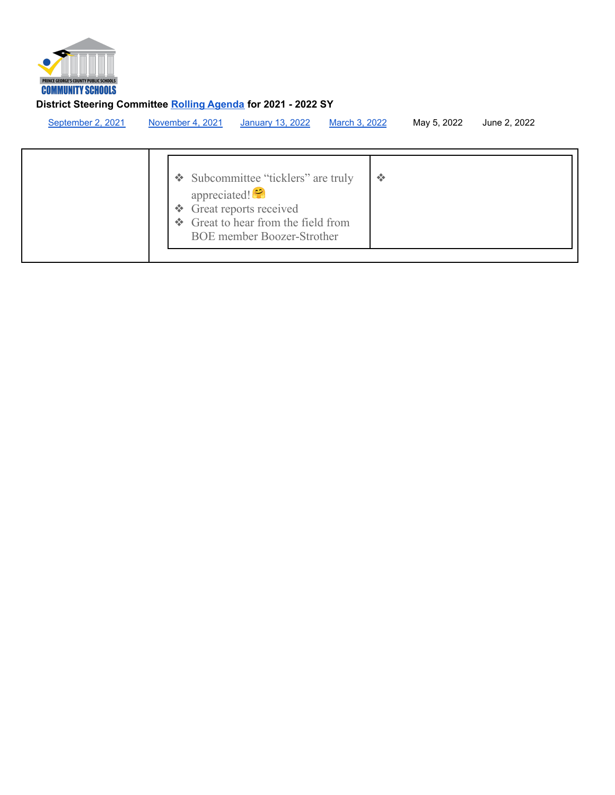

| September 2, 2021 | November 4, 2021 | January 13, 2022                                                                                                                                          | March 3, 2022               | May 5, 2022 | June 2, 2022 |  |
|-------------------|------------------|-----------------------------------------------------------------------------------------------------------------------------------------------------------|-----------------------------|-------------|--------------|--|
|                   |                  | Subcommittee "ticklers" are truly<br>appreciated!<br>❖ Great reports received<br>❖ Great to hear from the field from<br><b>BOE</b> member Boozer-Strother | $\mathcal{L}_{\mathcal{L}}$ |             |              |  |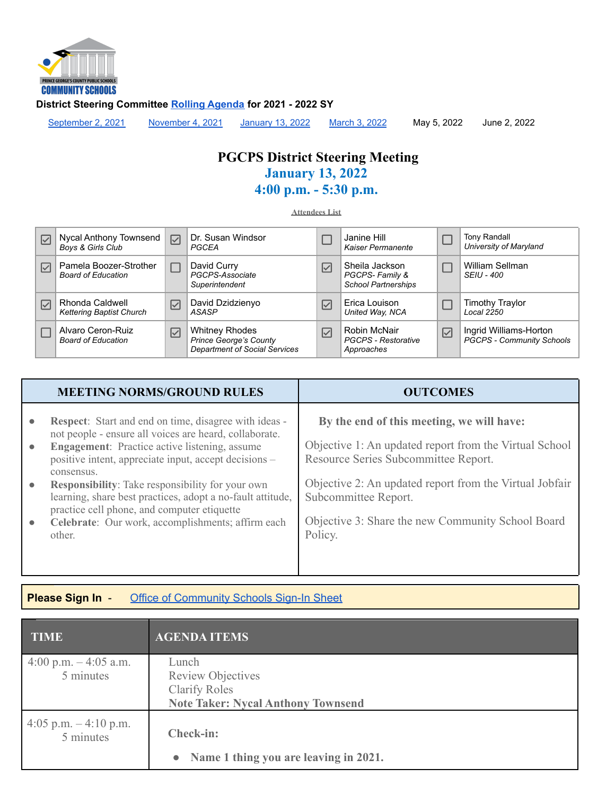

<span id="page-8-0"></span>[September 2, 2021](#page-0-0) **[November 4, 2021](#page-4-0) [January 13, 2022](#page-8-0) [March 3, 2022](#page-13-0) May 5, 2022 June 2, 2022** 

# **PGCPS District Steering Meeting January 13, 2022 4:00 p.m. - 5:30 p.m.**

**Attendees List**

| $\triangledown$ | Nycal Anthony Townsend<br>Boys & Girls Club         | $\triangledown$         | Dr. Susan Windsor<br>PGCEA                                                                     |                      | Janine Hill<br>Kaiser Permanente                               |                           | <b>Tony Randall</b><br>University of Maryland              |
|-----------------|-----------------------------------------------------|-------------------------|------------------------------------------------------------------------------------------------|----------------------|----------------------------------------------------------------|---------------------------|------------------------------------------------------------|
| $\triangledown$ | Pamela Boozer-Strother<br><b>Board of Education</b> |                         | David Curry<br>PGCPS-Associate<br>Superintendent                                               | ☑                    | Sheila Jackson<br>PGCPS-Family &<br><b>School Partnerships</b> |                           | William Sellman<br><b>SEIU - 400</b>                       |
| ⊻               | Rhonda Caldwell<br><b>Kettering Baptist Church</b>  | ⋈                       | David Dzidzienyo<br>ASASP                                                                      | ☑                    | Erica Louison<br>United Way, NCA                               |                           | Timothy Traylor<br>Local 2250                              |
|                 | Alvaro Ceron-Ruiz<br><b>Board of Education</b>      | $\vert\mathcal{p}\vert$ | <b>Whitney Rhodes</b><br><b>Prince George's County</b><br><b>Department of Social Services</b> | $\boxed{\checkmark}$ | Robin McNair<br><b>PGCPS - Restorative</b><br>Approaches       | $\vert \mathcal{V} \vert$ | Ingrid Williams-Horton<br><b>PGCPS - Community Schools</b> |

|                        | <b>MEETING NORMS/GROUND RULES</b>                                                                                                                                                                                                                     | <b>OUTCOMES</b>                                                                                                                                 |
|------------------------|-------------------------------------------------------------------------------------------------------------------------------------------------------------------------------------------------------------------------------------------------------|-------------------------------------------------------------------------------------------------------------------------------------------------|
| $\bullet$<br>$\bullet$ | <b>Respect:</b> Start and end on time, disagree with ideas -<br>not people - ensure all voices are heard, collaborate.<br><b>Engagement:</b> Practice active listening, assume<br>positive intent, appreciate input, accept decisions –<br>consensus. | By the end of this meeting, we will have:<br>Objective 1: An updated report from the Virtual School<br>Resource Series Subcommittee Report.     |
| $\bullet$<br>$\bullet$ | <b>Responsibility:</b> Take responsibility for your own<br>learning, share best practices, adopt a no-fault attitude,<br>practice cell phone, and computer etiquette<br>Celebrate: Our work, accomplishments; affirm each<br>other.                   | Objective 2: An updated report from the Virtual Jobfair<br>Subcommittee Report.<br>Objective 3: Share the new Community School Board<br>Policy. |

### **Please Sign In** - Office of [Community](https://docs.google.com/forms/d/e/1FAIpQLScfPPUBRBXrORnmH5My2E5bwD0fBwqlY088V_rPVzSaydRNZA/viewform) Schools Sign-In Sheet

| <b>TIME</b>                         | <b>AGENDA ITEMS</b>                                                                                    |
|-------------------------------------|--------------------------------------------------------------------------------------------------------|
| 4:00 p.m. $-4:05$ a.m.<br>5 minutes | Lunch<br><b>Review Objectives</b><br><b>Clarify Roles</b><br><b>Note Taker: Nycal Anthony Townsend</b> |
| 4:05 p.m. $-4:10$ p.m.<br>5 minutes | <b>Check-in:</b><br>Name 1 thing you are leaving in 2021.<br>$\bullet$                                 |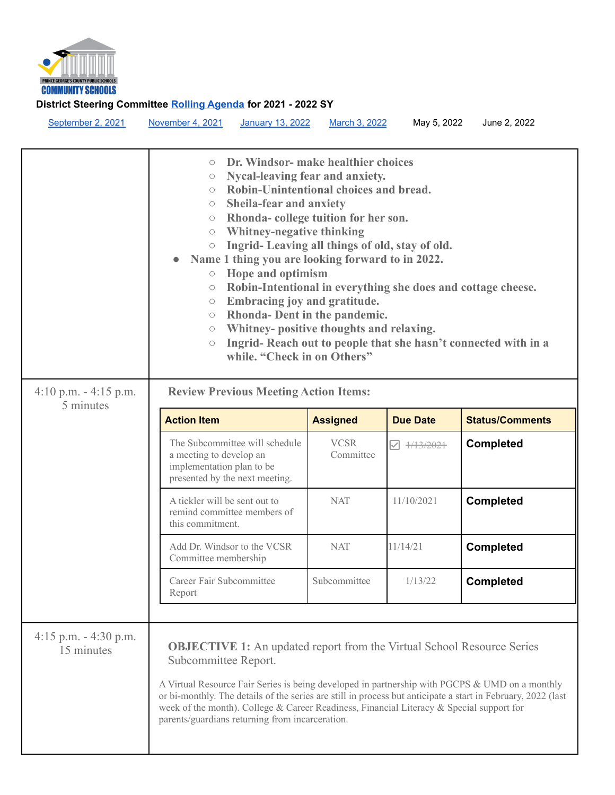

| September 2, 2021                                    | November 4, 2021<br><b>January 13, 2022</b>                                                                                                                                                                                                                                                                                                                                                                                                                                                                                                                                                                                                                                                                                                                                                                        | March 3, 2022            | May 5, 2022                   | June 2, 2022           |  |  |  |  |
|------------------------------------------------------|--------------------------------------------------------------------------------------------------------------------------------------------------------------------------------------------------------------------------------------------------------------------------------------------------------------------------------------------------------------------------------------------------------------------------------------------------------------------------------------------------------------------------------------------------------------------------------------------------------------------------------------------------------------------------------------------------------------------------------------------------------------------------------------------------------------------|--------------------------|-------------------------------|------------------------|--|--|--|--|
|                                                      | Dr. Windsor- make healthier choices<br>$\circ$<br>Nycal-leaving fear and anxiety.<br>$\circ$<br>Robin-Unintentional choices and bread.<br>$\circ$<br>Sheila-fear and anxiety<br>$\bigcirc$<br>Rhonda-college tuition for her son.<br>$\bigcirc$<br><b>Whitney-negative thinking</b><br>$\bigcirc$<br>Ingrid-Leaving all things of old, stay of old.<br>$\bigcirc$<br>Name 1 thing you are looking forward to in 2022.<br><b>Hope and optimism</b><br>$\bigcirc$<br>Robin-Intentional in everything she does and cottage cheese.<br>$\bigcirc$<br>Embracing joy and gratitude.<br>$\bigcirc$<br>Rhonda-Dent in the pandemic.<br>$\bigcirc$<br>Whitney- positive thoughts and relaxing.<br>$\bigcirc$<br>Ingrid-Reach out to people that she hasn't connected with in a<br>$\bigcirc$<br>while. "Check in on Others" |                          |                               |                        |  |  |  |  |
| $4:10 \text{ p.m.} - 4:15 \text{ p.m.}$<br>5 minutes | <b>Review Previous Meeting Action Items:</b>                                                                                                                                                                                                                                                                                                                                                                                                                                                                                                                                                                                                                                                                                                                                                                       |                          |                               |                        |  |  |  |  |
|                                                      | <b>Action Item</b>                                                                                                                                                                                                                                                                                                                                                                                                                                                                                                                                                                                                                                                                                                                                                                                                 | <b>Assigned</b>          | <b>Due Date</b>               | <b>Status/Comments</b> |  |  |  |  |
|                                                      | The Subcommittee will schedule<br>a meeting to develop an<br>implementation plan to be<br>presented by the next meeting.                                                                                                                                                                                                                                                                                                                                                                                                                                                                                                                                                                                                                                                                                           | <b>VCSR</b><br>Committee | <b>☑</b> <del>1/13/2021</del> | <b>Completed</b>       |  |  |  |  |
|                                                      | A tickler will be sent out to<br>remind committee members of<br>this commitment.                                                                                                                                                                                                                                                                                                                                                                                                                                                                                                                                                                                                                                                                                                                                   | <b>NAT</b>               | 11/10/2021                    | <b>Completed</b>       |  |  |  |  |
|                                                      | Add Dr. Windsor to the VCSR<br>Committee membership                                                                                                                                                                                                                                                                                                                                                                                                                                                                                                                                                                                                                                                                                                                                                                | <b>NAT</b>               | 11/14/21                      | <b>Completed</b>       |  |  |  |  |
|                                                      | <b>Completed</b><br>Career Fair Subcommittee<br>Subcommittee<br>1/13/22<br>Report                                                                                                                                                                                                                                                                                                                                                                                                                                                                                                                                                                                                                                                                                                                                  |                          |                               |                        |  |  |  |  |
| $4:15$ p.m. $-4:30$ p.m.<br>15 minutes               | <b>OBJECTIVE 1:</b> An updated report from the Virtual School Resource Series<br>Subcommittee Report.<br>A Virtual Resource Fair Series is being developed in partnership with PGCPS & UMD on a monthly<br>or bi-monthly. The details of the series are still in process but anticipate a start in February, 2022 (last<br>week of the month). College & Career Readiness, Financial Literacy & Special support for<br>parents/guardians returning from incarceration.                                                                                                                                                                                                                                                                                                                                             |                          |                               |                        |  |  |  |  |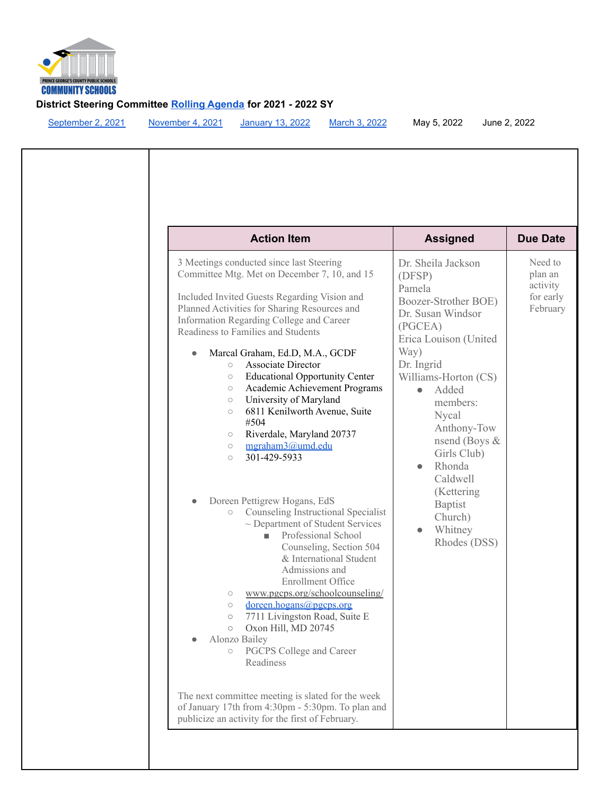

[September 2, 2021](#page-0-0) [November 4, 2021](#page-4-0) [January 13, 2022](#page-8-0) [March 3, 2022](#page-13-0) May 5, 2022 June 2, 2022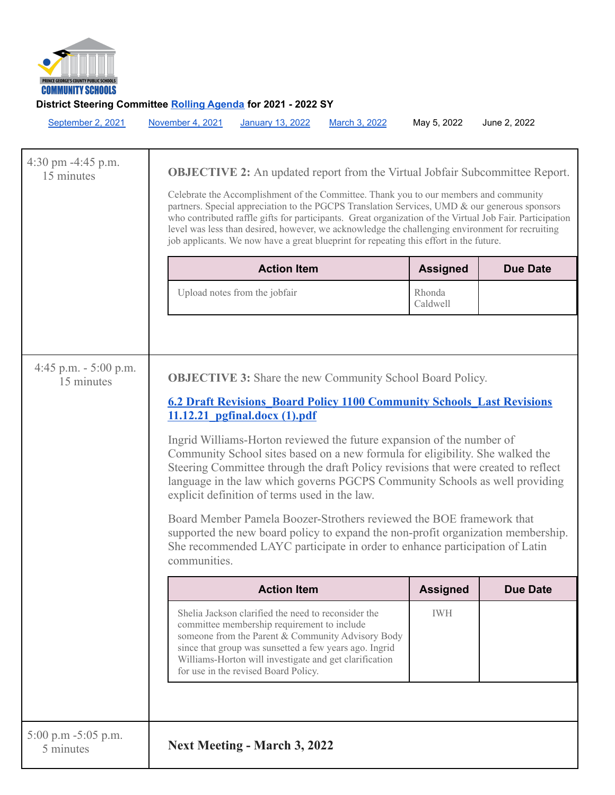

| September 2, 2021                    | November 4, 2021                                                                                                                                                                                                                                                                                                                                                             | <b>January 13, 2022</b>                                                                                                                                                                                                                                                                                                                                                                                                                                                                         | March 3, 2022 | May 5, 2022        | June 2, 2022    |  |  |  |
|--------------------------------------|------------------------------------------------------------------------------------------------------------------------------------------------------------------------------------------------------------------------------------------------------------------------------------------------------------------------------------------------------------------------------|-------------------------------------------------------------------------------------------------------------------------------------------------------------------------------------------------------------------------------------------------------------------------------------------------------------------------------------------------------------------------------------------------------------------------------------------------------------------------------------------------|---------------|--------------------|-----------------|--|--|--|
| 4:30 pm -4:45 p.m.<br>15 minutes     | job applicants. We now have a great blueprint for repeating this effort in the future.                                                                                                                                                                                                                                                                                       | <b>OBJECTIVE 2:</b> An updated report from the Virtual Jobfair Subcommittee Report.<br>Celebrate the Accomplishment of the Committee. Thank you to our members and community<br>partners. Special appreciation to the PGCPS Translation Services, UMD $\&$ our generous sponsors<br>who contributed raffle gifts for participants. Great organization of the Virtual Job Fair. Participation<br>level was less than desired, however, we acknowledge the challenging environment for recruiting |               |                    |                 |  |  |  |
|                                      |                                                                                                                                                                                                                                                                                                                                                                              | <b>Action Item</b>                                                                                                                                                                                                                                                                                                                                                                                                                                                                              |               | <b>Assigned</b>    | <b>Due Date</b> |  |  |  |
|                                      |                                                                                                                                                                                                                                                                                                                                                                              | Upload notes from the jobfair                                                                                                                                                                                                                                                                                                                                                                                                                                                                   |               | Rhonda<br>Caldwell |                 |  |  |  |
|                                      |                                                                                                                                                                                                                                                                                                                                                                              |                                                                                                                                                                                                                                                                                                                                                                                                                                                                                                 |               |                    |                 |  |  |  |
| 4:45 p.m. $-5:00$ p.m.<br>15 minutes |                                                                                                                                                                                                                                                                                                                                                                              | <b>OBJECTIVE 3:</b> Share the new Community School Board Policy.                                                                                                                                                                                                                                                                                                                                                                                                                                |               |                    |                 |  |  |  |
|                                      |                                                                                                                                                                                                                                                                                                                                                                              | <b>6.2 Draft Revisions Board Policy 1100 Community Schools Last Revisions</b><br>$11.12.21$ pgfinal.docx $(1)$ .pdf                                                                                                                                                                                                                                                                                                                                                                             |               |                    |                 |  |  |  |
|                                      | Ingrid Williams-Horton reviewed the future expansion of the number of<br>Community School sites based on a new formula for eligibility. She walked the<br>Steering Committee through the draft Policy revisions that were created to reflect<br>language in the law which governs PGCPS Community Schools as well providing<br>explicit definition of terms used in the law. |                                                                                                                                                                                                                                                                                                                                                                                                                                                                                                 |               |                    |                 |  |  |  |
|                                      | Board Member Pamela Boozer-Strothers reviewed the BOE framework that<br>supported the new board policy to expand the non-profit organization membership.<br>She recommended LAYC participate in order to enhance participation of Latin<br>communities.                                                                                                                      |                                                                                                                                                                                                                                                                                                                                                                                                                                                                                                 |               |                    |                 |  |  |  |
|                                      |                                                                                                                                                                                                                                                                                                                                                                              | <b>Action Item</b>                                                                                                                                                                                                                                                                                                                                                                                                                                                                              |               | <b>Assigned</b>    | <b>Due Date</b> |  |  |  |
|                                      | committee membership requirement to include<br>for use in the revised Board Policy.                                                                                                                                                                                                                                                                                          | Shelia Jackson clarified the need to reconsider the<br>someone from the Parent & Community Advisory Body<br>since that group was sunsetted a few years ago. Ingrid<br>Williams-Horton will investigate and get clarification                                                                                                                                                                                                                                                                    | <b>IWH</b>    |                    |                 |  |  |  |
|                                      |                                                                                                                                                                                                                                                                                                                                                                              |                                                                                                                                                                                                                                                                                                                                                                                                                                                                                                 |               |                    |                 |  |  |  |
| 5:00 p.m -5:05 p.m.<br>5 minutes     |                                                                                                                                                                                                                                                                                                                                                                              | <b>Next Meeting - March 3, 2022</b>                                                                                                                                                                                                                                                                                                                                                                                                                                                             |               |                    |                 |  |  |  |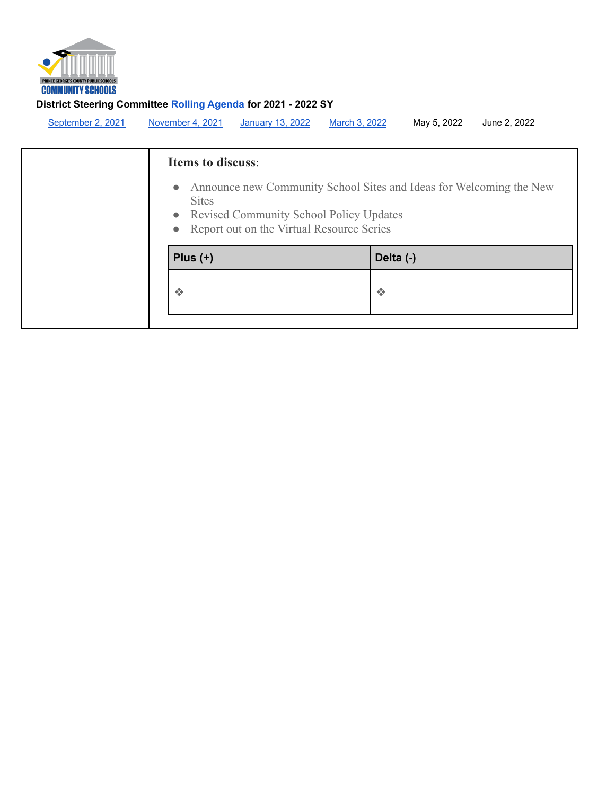

| September 2, 2021 | November 4, 2021                                                                                                                                   | <b>January 13, 2022</b> | March 3, 2022                                                       | May 5, 2022 | June 2, 2022 |
|-------------------|----------------------------------------------------------------------------------------------------------------------------------------------------|-------------------------|---------------------------------------------------------------------|-------------|--------------|
|                   | <b>Items to discuss:</b>                                                                                                                           |                         |                                                                     |             |              |
|                   | $\bullet$<br><b>Sites</b><br><b>Revised Community School Policy Updates</b><br>$\bullet$<br>Report out on the Virtual Resource Series<br>$\bullet$ |                         | Announce new Community School Sites and Ideas for Welcoming the New |             |              |
|                   | Plus $(+)$                                                                                                                                         |                         | Delta (-)                                                           |             |              |
|                   | $\mathcal{L}_{\mathcal{A}}$                                                                                                                        |                         | $\frac{1}{2}$                                                       |             |              |
|                   |                                                                                                                                                    |                         |                                                                     |             |              |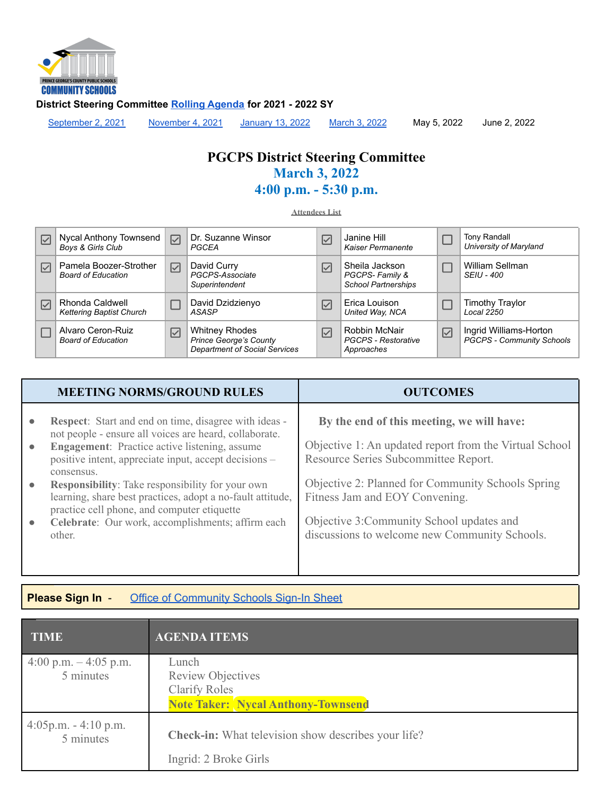

<span id="page-13-0"></span>[September 2, 2021](#page-0-0) Movember 4, 2021 [January 13, 2022](#page-8-0) [March 3, 2022](#page-13-0) May 5, 2022 June 2, 2022

## **PGCPS District Steering Committee March 3, 2022 4:00 p.m. - 5:30 p.m.**

**Attendees List**

| $\mathsf{I}\mathsf{V}$ | Nycal Anthony Townsend<br>Boys & Girls Club         | $\overline{\vee}$                   | Dr. Suzanne Winsor<br>PGCEA                                                                    | $\vert\mathcal{V}\vert$ | Janine Hill<br>Kaiser Permanente                               |                 | <b>Tony Randall</b><br>University of Maryland              |
|------------------------|-----------------------------------------------------|-------------------------------------|------------------------------------------------------------------------------------------------|-------------------------|----------------------------------------------------------------|-----------------|------------------------------------------------------------|
| $\boxed{\checkmark}$   | Pamela Boozer-Strother<br><b>Board of Education</b> | $\overline{\smash[b]{\mathcal{N}}}$ | David Curry<br>PGCPS-Associate<br>Superintendent                                               | ☑                       | Sheila Jackson<br>PGCPS-Family &<br><b>School Partnerships</b> |                 | William Sellman<br><b>SEIU - 400</b>                       |
| ⊻                      | Rhonda Caldwell<br><b>Kettering Baptist Church</b>  |                                     | David Dzidzienyo<br>ASASP                                                                      | ⋈                       | Erica Louison<br>United Way, NCA                               |                 | Timothy Traylor<br><b>Local 2250</b>                       |
|                        | Alvaro Ceron-Ruiz<br><b>Board of Education</b>      | $\vert\mathcal{V}\vert$             | <b>Whitney Rhodes</b><br><b>Prince George's County</b><br><b>Department of Social Services</b> | $\vert\mathcal{S}\vert$ | Robbin McNair<br><b>PGCPS - Restorative</b><br>Approaches      | $\triangledown$ | Ingrid Williams-Horton<br><b>PGCPS - Community Schools</b> |

| <b>MEETING NORMS/GROUND RULES</b>                                                                                                                                                                                                                 | <b>OUTCOMES</b>                                                                                                                                                                          |
|---------------------------------------------------------------------------------------------------------------------------------------------------------------------------------------------------------------------------------------------------|------------------------------------------------------------------------------------------------------------------------------------------------------------------------------------------|
| <b>Respect:</b> Start and end on time, disagree with ideas -<br>not people - ensure all voices are heard, collaborate.<br><b>Engagement:</b> Practice active listening, assume<br>positive intent, appreciate input, accept decisions -           | By the end of this meeting, we will have:<br>Objective 1: An updated report from the Virtual School<br>Resource Series Subcommittee Report.                                              |
| consensus.<br><b>Responsibility:</b> Take responsibility for your own<br>learning, share best practices, adopt a no-fault attitude,<br>practice cell phone, and computer etiquette<br>Celebrate: Our work, accomplishments; affirm each<br>other. | <b>Objective 2: Planned for Community Schools Spring</b><br>Fitness Jam and EOY Convening.<br>Objective 3: Community School updates and<br>discussions to welcome new Community Schools. |

### **Please Sign In** - Office of [Community](https://docs.google.com/forms/d/e/1FAIpQLScfPPUBRBXrORnmH5My2E5bwD0fBwqlY088V_rPVzSaydRNZA/viewform) Schools Sign-In Sheet

| <b>TIME</b>                         | <b>AGENDA ITEMS</b>                                                                                    |
|-------------------------------------|--------------------------------------------------------------------------------------------------------|
| 4:00 p.m. $-4:05$ p.m.<br>5 minutes | Lunch<br><b>Review Objectives</b><br><b>Clarify Roles</b><br><b>Note Taker: Nycal Anthony-Townsend</b> |
| $4:05p.m. - 4:10 p.m.$<br>5 minutes | <b>Check-in:</b> What television show describes your life?<br>Ingrid: 2 Broke Girls                    |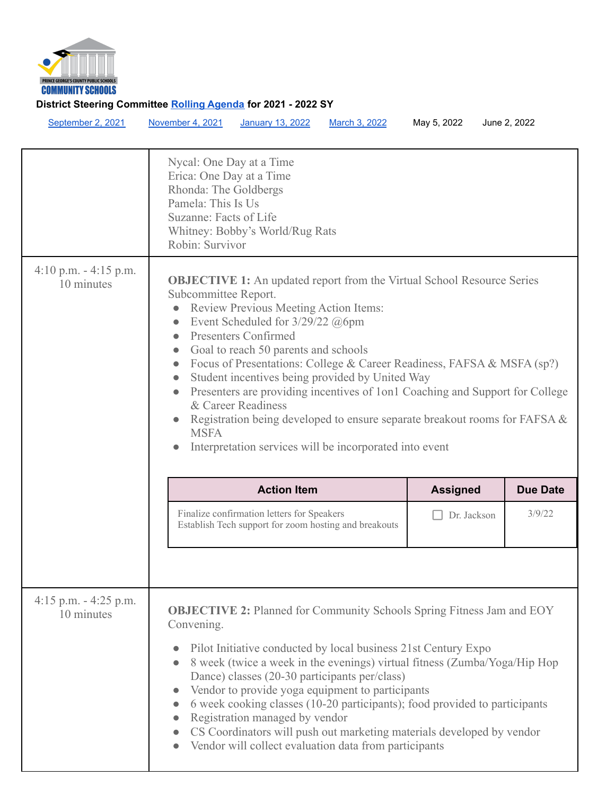

| September 2, 2021                                     | November 4, 2021                                                                                                                                                                                                                                                                                                        | <b>January 13, 2022</b>                                                                                                                                                                                                                                                                                                                                                                                                                                                                                                                                                            | March 3, 2022 | May 5, 2022     | June 2, 2022    |
|-------------------------------------------------------|-------------------------------------------------------------------------------------------------------------------------------------------------------------------------------------------------------------------------------------------------------------------------------------------------------------------------|------------------------------------------------------------------------------------------------------------------------------------------------------------------------------------------------------------------------------------------------------------------------------------------------------------------------------------------------------------------------------------------------------------------------------------------------------------------------------------------------------------------------------------------------------------------------------------|---------------|-----------------|-----------------|
|                                                       | Erica: One Day at a Time<br>Rhonda: The Goldbergs<br>Pamela: This Is Us<br>Suzanne: Facts of Life<br>Robin: Survivor                                                                                                                                                                                                    | Nycal: One Day at a Time<br>Whitney: Bobby's World/Rug Rats                                                                                                                                                                                                                                                                                                                                                                                                                                                                                                                        |               |                 |                 |
| $4:10 \text{ p.m.} - 4:15 \text{ p.m.}$<br>10 minutes | <b>OBJECTIVE 1:</b> An updated report from the Virtual School Resource Series<br>Focus of Presentations: College & Career Readiness, FAFSA & MSFA (sp?)<br>Presenters are providing incentives of 1 on 1 Coaching and Support for College<br>Registration being developed to ensure separate breakout rooms for FAFSA & |                                                                                                                                                                                                                                                                                                                                                                                                                                                                                                                                                                                    |               |                 |                 |
|                                                       |                                                                                                                                                                                                                                                                                                                         | <b>Action Item</b>                                                                                                                                                                                                                                                                                                                                                                                                                                                                                                                                                                 |               | <b>Assigned</b> | <b>Due Date</b> |
|                                                       |                                                                                                                                                                                                                                                                                                                         | Finalize confirmation letters for Speakers<br>Establish Tech support for zoom hosting and breakouts                                                                                                                                                                                                                                                                                                                                                                                                                                                                                |               | Dr. Jackson     | 3/9/22          |
|                                                       |                                                                                                                                                                                                                                                                                                                         |                                                                                                                                                                                                                                                                                                                                                                                                                                                                                                                                                                                    |               |                 |                 |
| $4:15$ p.m. $-4:25$ p.m.<br>10 minutes                | Convening.                                                                                                                                                                                                                                                                                                              | <b>OBJECTIVE 2:</b> Planned for Community Schools Spring Fitness Jam and EOY<br>Pilot Initiative conducted by local business 21st Century Expo<br>8 week (twice a week in the evenings) virtual fitness (Zumba/Yoga/Hip Hop<br>Dance) classes (20-30 participants per/class)<br>Vendor to provide yoga equipment to participants<br>6 week cooking classes (10-20 participants); food provided to participants<br>Registration managed by vendor<br>CS Coordinators will push out marketing materials developed by vendor<br>Vendor will collect evaluation data from participants |               |                 |                 |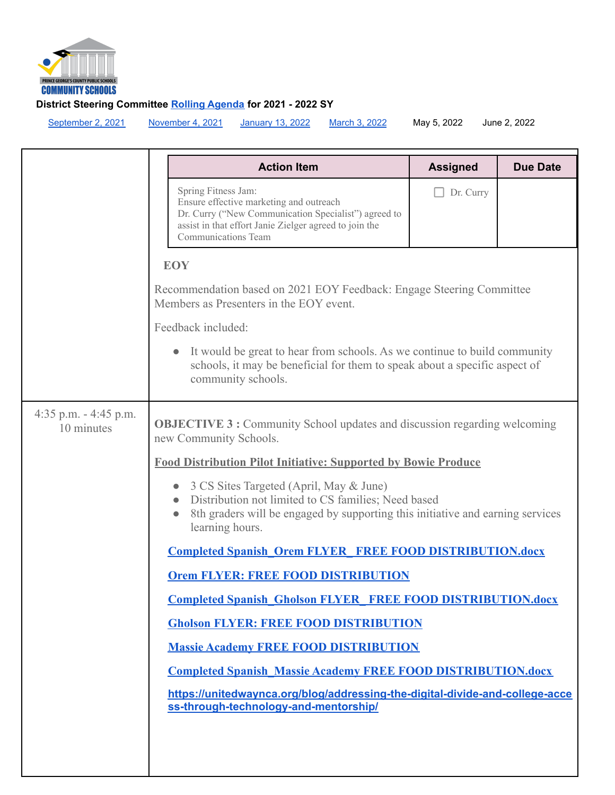

| September 2, 2021                    | November 4, 2021<br><b>January 13, 2022</b><br>March 3, 2022                                                                                                                                                     | May 5, 2022     | June 2, 2022    |  |  |  |  |  |
|--------------------------------------|------------------------------------------------------------------------------------------------------------------------------------------------------------------------------------------------------------------|-----------------|-----------------|--|--|--|--|--|
|                                      | <b>Action Item</b>                                                                                                                                                                                               | <b>Assigned</b> | <b>Due Date</b> |  |  |  |  |  |
|                                      | Spring Fitness Jam:<br>Ensure effective marketing and outreach<br>Dr. Curry ("New Communication Specialist") agreed to<br>assist in that effort Janie Zielger agreed to join the<br><b>Communications Team</b>   | Dr. Curry       |                 |  |  |  |  |  |
|                                      | <b>EOY</b>                                                                                                                                                                                                       |                 |                 |  |  |  |  |  |
|                                      | Recommendation based on 2021 EOY Feedback: Engage Steering Committee<br>Members as Presenters in the EOY event.                                                                                                  |                 |                 |  |  |  |  |  |
|                                      | Feedback included:                                                                                                                                                                                               |                 |                 |  |  |  |  |  |
|                                      | It would be great to hear from schools. As we continue to build community<br>$\bullet$<br>schools, it may be beneficial for them to speak about a specific aspect of<br>community schools.                       |                 |                 |  |  |  |  |  |
| 4:35 p.m. $-4:45$ p.m.<br>10 minutes | <b>OBJECTIVE 3 :</b> Community School updates and discussion regarding welcoming<br>new Community Schools.                                                                                                       |                 |                 |  |  |  |  |  |
|                                      | <b>Food Distribution Pilot Initiative: Supported by Bowie Produce</b>                                                                                                                                            |                 |                 |  |  |  |  |  |
|                                      | 3 CS Sites Targeted (April, May & June)<br>Distribution not limited to CS families; Need based<br>8th graders will be engaged by supporting this initiative and earning services<br>$\bullet$<br>learning hours. |                 |                 |  |  |  |  |  |
|                                      | <b>Completed Spanish Orem FLYER FREE FOOD DISTRIBUTION.docx</b>                                                                                                                                                  |                 |                 |  |  |  |  |  |
|                                      | <b>Orem FLYER: FREE FOOD DISTRIBUTION</b>                                                                                                                                                                        |                 |                 |  |  |  |  |  |
|                                      | <b>Completed Spanish Gholson FLYER FREE FOOD DISTRIBUTION.docx</b>                                                                                                                                               |                 |                 |  |  |  |  |  |
|                                      | <b>Gholson FLYER: FREE FOOD DISTRIBUTION</b>                                                                                                                                                                     |                 |                 |  |  |  |  |  |
|                                      | <b>Massie Academy FREE FOOD DISTRIBUTION</b><br><b>Completed Spanish Massie Academy FREE FOOD DISTRIBUTION.docx</b>                                                                                              |                 |                 |  |  |  |  |  |
|                                      | https://unitedwaynca.org/blog/addressing-the-digital-divide-and-college-acce<br>ss-through-technology-and-mentorship/                                                                                            |                 |                 |  |  |  |  |  |
|                                      |                                                                                                                                                                                                                  |                 |                 |  |  |  |  |  |